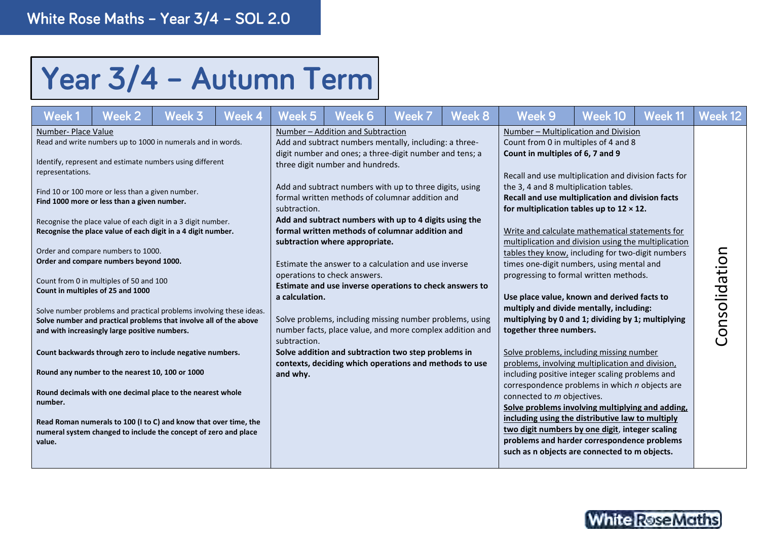## Year 3/4 - Autumn Term

| Week1                                                        | Week 2                                                                                                                                                                                                                                                                                                                                                              | Week 3                                                                                                                                                                                                                                                                                                                                                                                                                                                                                                                                                                                                                                                                | Week 4 | Week 5                                                     | Week 6                                                                                                                                                                                                                                                                                                                                                                                                                                                                                                                                                                                                                                                                                                                                                                                                                                              | Week 7 | Week 8 | Week 9                                                                                                                                                                                                                                                                                                                                                                                                                                                                                                                                                                                                                                                                                                                                                                                                                                                                                                                                                                                                                                                                                                                                                                                                                                                     | Week 10 | Week 11 | Week 12      |
|--------------------------------------------------------------|---------------------------------------------------------------------------------------------------------------------------------------------------------------------------------------------------------------------------------------------------------------------------------------------------------------------------------------------------------------------|-----------------------------------------------------------------------------------------------------------------------------------------------------------------------------------------------------------------------------------------------------------------------------------------------------------------------------------------------------------------------------------------------------------------------------------------------------------------------------------------------------------------------------------------------------------------------------------------------------------------------------------------------------------------------|--------|------------------------------------------------------------|-----------------------------------------------------------------------------------------------------------------------------------------------------------------------------------------------------------------------------------------------------------------------------------------------------------------------------------------------------------------------------------------------------------------------------------------------------------------------------------------------------------------------------------------------------------------------------------------------------------------------------------------------------------------------------------------------------------------------------------------------------------------------------------------------------------------------------------------------------|--------|--------|------------------------------------------------------------------------------------------------------------------------------------------------------------------------------------------------------------------------------------------------------------------------------------------------------------------------------------------------------------------------------------------------------------------------------------------------------------------------------------------------------------------------------------------------------------------------------------------------------------------------------------------------------------------------------------------------------------------------------------------------------------------------------------------------------------------------------------------------------------------------------------------------------------------------------------------------------------------------------------------------------------------------------------------------------------------------------------------------------------------------------------------------------------------------------------------------------------------------------------------------------------|---------|---------|--------------|
| Number- Place Value<br>representations.<br>number.<br>value. | Find 10 or 100 more or less than a given number.<br>Find 1000 more or less than a given number.<br>Order and compare numbers to 1000.<br>Order and compare numbers beyond 1000.<br>Count from 0 in multiples of 50 and 100<br>Count in multiples of 25 and 1000<br>and with increasingly large positive numbers.<br>Round any number to the nearest 10, 100 or 1000 | Read and write numbers up to 1000 in numerals and in words.<br>Identify, represent and estimate numbers using different<br>Recognise the place value of each digit in a 3 digit number.<br>Recognise the place value of each digit in a 4 digit number.<br>Solve number problems and practical problems involving these ideas.<br>Solve number and practical problems that involve all of the above<br>Count backwards through zero to include negative numbers.<br>Round decimals with one decimal place to the nearest whole<br>Read Roman numerals to 100 (I to C) and know that over time, the<br>numeral system changed to include the concept of zero and place |        | subtraction.<br>a calculation.<br>subtraction.<br>and why. | Number - Addition and Subtraction<br>Add and subtract numbers mentally, including: a three-<br>digit number and ones; a three-digit number and tens; a<br>three digit number and hundreds.<br>Add and subtract numbers with up to three digits, using<br>formal written methods of columnar addition and<br>Add and subtract numbers with up to 4 digits using the<br>formal written methods of columnar addition and<br>subtraction where appropriate.<br>Estimate the answer to a calculation and use inverse<br>operations to check answers.<br>Estimate and use inverse operations to check answers to<br>Solve problems, including missing number problems, using<br>number facts, place value, and more complex addition and<br>Solve addition and subtraction two step problems in<br>contexts, deciding which operations and methods to use |        |        | Number - Multiplication and Division<br>Count from 0 in multiples of 4 and 8<br>Count in multiples of 6, 7 and 9<br>Recall and use multiplication and division facts for<br>the 3, 4 and 8 multiplication tables.<br>Recall and use multiplication and division facts<br>for multiplication tables up to $12 \times 12$ .<br>Write and calculate mathematical statements for<br>multiplication and division using the multiplication<br>tables they know, including for two-digit numbers<br>times one-digit numbers, using mental and<br>progressing to formal written methods.<br>Use place value, known and derived facts to<br>multiply and divide mentally, including:<br>multiplying by 0 and 1; dividing by 1; multiplying<br>together three numbers.<br>Solve problems, including missing number<br>problems, involving multiplication and division,<br>including positive integer scaling problems and<br>correspondence problems in which n objects are<br>connected to m objectives.<br>Solve problems involving multiplying and adding,<br>including using the distributive law to multiply<br>two digit numbers by one digit, integer scaling<br>problems and harder correspondence problems<br>such as n objects are connected to m objects. |         |         | Consolidatio |

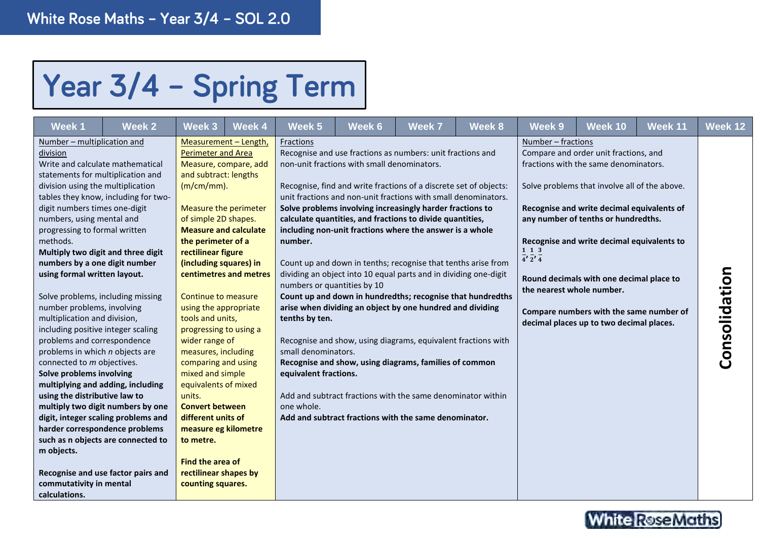## Year 3/4 - Spring Term

| <b>Week1</b>                                                                                                                                                                                                                                                                                                                                                                                                                                                                                                                                                                                                                                                                                                                                                                                                   | <b>Week 2</b>                                                                                                                                                                                | Week 3                                                                                                                                                                                                                                                                                                                                                                                                                                                                                                               | <b>Week 4</b>                                                                                                                                             | Week 5                                                                                                                              | Week 6                                      | <b>Week 7</b>                                                                                                                                                                                                                                                                                                                                                                                                                                                                                                                                                                                                                                                                                                                                                                                                                                                                                              | Week 8 | Week 9                                                                           | Week 10                                                                                                                                                                                                                                                                                                                                                                                               | Week 11 | Week 12       |
|----------------------------------------------------------------------------------------------------------------------------------------------------------------------------------------------------------------------------------------------------------------------------------------------------------------------------------------------------------------------------------------------------------------------------------------------------------------------------------------------------------------------------------------------------------------------------------------------------------------------------------------------------------------------------------------------------------------------------------------------------------------------------------------------------------------|----------------------------------------------------------------------------------------------------------------------------------------------------------------------------------------------|----------------------------------------------------------------------------------------------------------------------------------------------------------------------------------------------------------------------------------------------------------------------------------------------------------------------------------------------------------------------------------------------------------------------------------------------------------------------------------------------------------------------|-----------------------------------------------------------------------------------------------------------------------------------------------------------|-------------------------------------------------------------------------------------------------------------------------------------|---------------------------------------------|------------------------------------------------------------------------------------------------------------------------------------------------------------------------------------------------------------------------------------------------------------------------------------------------------------------------------------------------------------------------------------------------------------------------------------------------------------------------------------------------------------------------------------------------------------------------------------------------------------------------------------------------------------------------------------------------------------------------------------------------------------------------------------------------------------------------------------------------------------------------------------------------------------|--------|----------------------------------------------------------------------------------|-------------------------------------------------------------------------------------------------------------------------------------------------------------------------------------------------------------------------------------------------------------------------------------------------------------------------------------------------------------------------------------------------------|---------|---------------|
| Number - multiplication and<br>division<br>Write and calculate mathematical<br>statements for multiplication and<br>division using the multiplication<br>digit numbers times one-digit<br>numbers, using mental and<br>progressing to formal written<br>methods.<br>Multiply two digit and three digit<br>numbers by a one digit number<br>using formal written layout.<br>Solve problems, including missing<br>number problems, involving<br>multiplication and division,<br>including positive integer scaling<br>problems and correspondence<br>problems in which n objects are<br>connected to m objectives.<br>Solve problems involving<br>multiplying and adding, including<br>using the distributive law to<br>harder correspondence problems<br>m objects.<br>commutativity in mental<br>calculations. | tables they know, including for two-<br>multiply two digit numbers by one<br>digit, integer scaling problems and<br>such as n objects are connected to<br>Recognise and use factor pairs and | <b>Perimeter and Area</b><br>and subtract: lengths<br>$(m/cm/mm)$ .<br>of simple 2D shapes.<br>the perimeter of a<br>rectilinear figure<br>(including squares) in<br>Continue to measure<br>using the appropriate<br>tools and units,<br>progressing to using a<br>wider range of<br>measures, including<br>comparing and using<br>mixed and simple<br>equivalents of mixed<br>units.<br><b>Convert between</b><br>different units of<br>to metre.<br>Find the area of<br>rectilinear shapes by<br>counting squares. | Measurement - Length,<br>Measure, compare, add<br>Measure the perimeter<br><b>Measure and calculate</b><br>centimetres and metres<br>measure eg kilometre | Fractions<br>number.<br>numbers or quantities by 10<br>tenths by ten.<br>small denominators.<br>equivalent fractions.<br>one whole. | non-unit fractions with small denominators. | Recognise and use fractions as numbers: unit fractions and<br>Recognise, find and write fractions of a discrete set of objects:<br>unit fractions and non-unit fractions with small denominators.<br>Solve problems involving increasingly harder fractions to<br>calculate quantities, and fractions to divide quantities,<br>including non-unit fractions where the answer is a whole<br>Count up and down in tenths; recognise that tenths arise from<br>dividing an object into 10 equal parts and in dividing one-digit<br>Count up and down in hundredths; recognise that hundredths<br>arise when dividing an object by one hundred and dividing<br>Recognise and show, using diagrams, equivalent fractions with<br>Recognise and show, using diagrams, families of common<br>Add and subtract fractions with the same denominator within<br>Add and subtract fractions with the same denominator. |        | <u>Number – fractions</u><br>1 1 3<br>$4'$ $2'$ $4$<br>the nearest whole number. | Compare and order unit fractions, and<br>fractions with the same denominators.<br>Solve problems that involve all of the above.<br>Recognise and write decimal equivalents of<br>any number of tenths or hundredths.<br>Recognise and write decimal equivalents to<br>Round decimals with one decimal place to<br>Compare numbers with the same number of<br>decimal places up to two decimal places. |         | Consolidation |